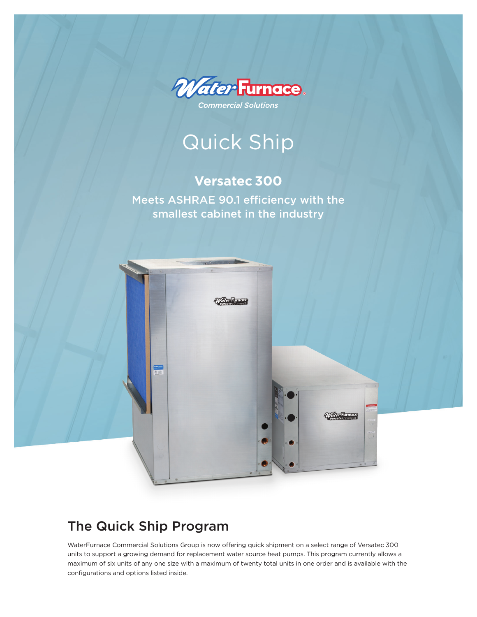

Quick Ship

### **Versatec 300**

Meets ASHRAE 90.1 efficiency with the smallest cabinet in the industry



## The Quick Ship Program

WaterFurnace Commercial Solutions Group is now offering quick shipment on a select range of Versatec 300 units to support a growing demand for replacement water source heat pumps. This program currently allows a maximum of six units of any one size with a maximum of twenty total units in one order and is available with the configurations and options listed inside.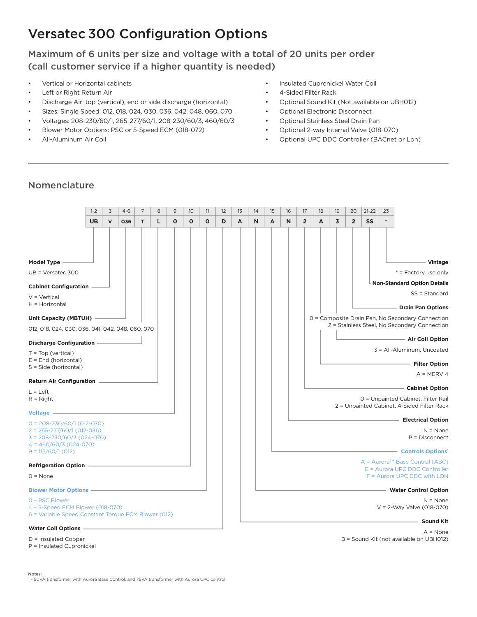## Versatec 300 Configuration Options

Maximum of 6 units per size and voltage with a total of 20 units per order (call customer service if a higher quantity is needed)

- Vertical or Horizontal cabinets
- Left or Right Return Air
- Discharge Air: top (vertical), end or side discharge (horizontal)
- Sizes: Single Speed: 012, 018, 024, 030, 036, 042, 048, 060, 070
- Voltages: 208-230/60/1, 265-277/60/1, 208-230/60/3, 460/60/3
- Blower Motor Options: PSC or 5-Speed ECM (018-072)
- All-Aluminum Air Coil
- Insulated Cupronickel Water Coil
- 4-Sided Filter Rack
- Optional Sound Kit (Not available on UBH012)
- Optional Electronic Disconnect
- Optional Stainless Steel Drain Pan
- Optional 2-way Internal Valve (018-070)
- Optional UPC DDC Controller (BACnet or Lon)

### Nomenclature

|                                                                    | $1 - 2$   | $\overline{3}$ | $4 - 6$ | $\overline{7}$ | 8 | 9            | 10 <sup>°</sup> | 11 | 12 | 13 | 14 | 15 | 16 | 17             | 18 | 19 | 20             | $21 - 22$ | 23  |                                                                    |
|--------------------------------------------------------------------|-----------|----------------|---------|----------------|---|--------------|-----------------|----|----|----|----|----|----|----------------|----|----|----------------|-----------|-----|--------------------------------------------------------------------|
|                                                                    | <b>UB</b> | $\mathsf{v}$   | 036     | T.             | L | $\mathbf{o}$ | $\mathbf{o}$    | O  | D  | A  | N  | A  | N  | $\overline{2}$ | A  | 3  | $\overline{2}$ | <b>SS</b> | $*$ |                                                                    |
|                                                                    |           |                |         |                |   |              |                 |    |    |    |    |    |    |                |    |    |                |           |     |                                                                    |
|                                                                    |           |                |         |                |   |              |                 |    |    |    |    |    |    |                |    |    |                |           |     |                                                                    |
|                                                                    |           |                |         |                |   |              |                 |    |    |    |    |    |    |                |    |    |                |           |     |                                                                    |
| Model Type -                                                       |           |                |         |                |   |              |                 |    |    |    |    |    |    |                |    |    |                |           |     | - Vintage                                                          |
| $UB = Versatec 300$                                                |           |                |         |                |   |              |                 |    |    |    |    |    |    |                |    |    |                |           |     | * = Factory use only                                               |
| <b>Cabinet Configuration -</b>                                     |           |                |         |                |   |              |                 |    |    |    |    |    |    |                |    |    |                |           |     | Non-Standard Option Details                                        |
| $V = Vertical$                                                     |           |                |         |                |   |              |                 |    |    |    |    |    |    |                |    |    |                |           |     | SS = Standard                                                      |
| H = Horizontal                                                     |           |                |         |                |   |              |                 |    |    |    |    |    |    |                |    |    |                |           |     | <b>Drain Pan Options</b>                                           |
| Unit Capacity (MBTUH) -                                            |           |                |         |                |   |              |                 |    |    |    |    |    |    |                |    |    |                |           |     | 0 = Composite Drain Pan, No Secondary Connection                   |
|                                                                    |           |                |         |                |   |              |                 |    |    |    |    |    |    |                |    |    |                |           |     | 2 = Stainless Steel, No Secondary Connection                       |
| 012, 018, 024, 030, 036, 041, 042, 048, 060, 070                   |           |                |         |                |   |              |                 |    |    |    |    |    |    |                |    |    |                |           |     |                                                                    |
|                                                                    |           |                |         |                |   |              |                 |    |    |    |    |    |    |                |    |    |                |           |     | - Air Coil Option                                                  |
| $T = Top (vertical)$                                               |           |                |         |                |   |              |                 |    |    |    |    |    |    |                |    |    |                |           |     | 3 = All-Aluminum, Uncoated                                         |
| $E =$ End (horizontal)<br>S = Side (horizontal)                    |           |                |         |                |   |              |                 |    |    |    |    |    |    |                |    |    |                |           |     | - Filter Option                                                    |
|                                                                    |           |                |         |                |   |              |                 |    |    |    |    |    |    |                |    |    |                |           |     | $A = MERV 4$                                                       |
| Return Air Configuration -                                         |           |                |         |                |   |              |                 |    |    |    |    |    |    |                |    |    |                |           |     | - Cabinet Option                                                   |
| $L = Left$<br>$R = Right$                                          |           |                |         |                |   |              |                 |    |    |    |    |    |    |                |    |    |                |           |     | 0 = Unpainted Cabinet, Filter Rail                                 |
|                                                                    |           |                |         |                |   |              |                 |    |    |    |    |    |    |                |    |    |                |           |     | 2 = Unpainted Cabinet, 4-Sided Filter Rack                         |
| Voltage -                                                          |           |                |         |                |   |              |                 |    |    |    |    |    |    |                |    |    |                |           |     |                                                                    |
| $0 = 208 - 230/60/1(012 - 070)$                                    |           |                |         |                |   |              |                 |    |    |    |    |    |    |                |    |    |                |           |     | <b>Electrical Option</b>                                           |
| $2 = 265 - 277/60/1 (012 - 036)$<br>$3 = 208 - 230/60/3$ (024-070) |           |                |         |                |   |              |                 |    |    |    |    |    |    |                |    |    |                |           |     | $N = None$<br>$P = Disconnect$                                     |
| $4 = 460/60/3 (024-070)$                                           |           |                |         |                |   |              |                 |    |    |    |    |    |    |                |    |    |                |           |     |                                                                    |
| $9 = 115/60/1(012)$                                                |           |                |         |                |   |              |                 |    |    |    |    |    |    |                |    |    |                |           |     | <b>Controls Options<sup>1</sup></b>                                |
| <b>Refrigeration Option -</b>                                      |           |                |         |                |   |              |                 |    |    |    |    |    |    |                |    |    |                |           |     | $A = AuroraTM Base Control (ABC)$<br>E = Aurora UPC DDC Controller |
| $0 = None$                                                         |           |                |         |                |   |              |                 |    |    |    |    |    |    |                |    |    |                |           |     | F = Aurora UPC DDC with LON                                        |
|                                                                    |           |                |         |                |   |              |                 |    |    |    |    |    |    |                |    |    |                |           |     | - Water Control Option                                             |
| 0 - PSC Blower                                                     |           |                |         |                |   |              |                 |    |    |    |    |    |    |                |    |    |                |           |     | $N = None$                                                         |
| 4 - 5-Speed ECM Blower (018-070)                                   |           |                |         |                |   |              |                 |    |    |    |    |    |    |                |    |    |                |           |     | V = 2-Way Valve (018-070)                                          |
| 6 = Variable Speed Constant Torque ECM Blower (012)                |           |                |         |                |   |              |                 |    |    |    |    |    |    |                |    |    |                |           |     | Sound Kit                                                          |

#### **Water Coil Options**

D = Insulated Copper

P = Insulated Cupronickel

Notes: 1 - 50VA transformer with Aurora Base Control, and 75VA transformer with Aurora UPC control

#### **Sound Kit**

 $A = None$ B = Sound Kit (not available on UBH012)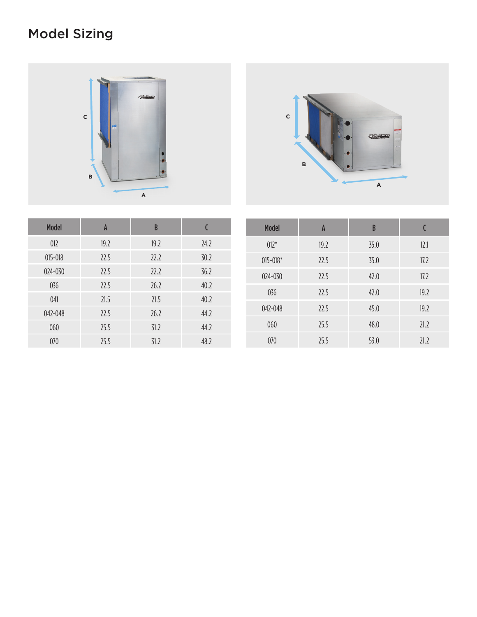# Model Sizing





| <b>Model</b> | A    | $\mathsf B$ |      | <b>Model</b> | A    | B    |      |
|--------------|------|-------------|------|--------------|------|------|------|
| 012          | 19.2 | 19.2        | 24.2 | $012*$       | 19.2 | 35.0 | 12.1 |
| $015 - 018$  | 22.5 | 22.2        | 30.2 | $015 - 018*$ | 22.5 | 35.0 | 17.2 |
| 024-030      | 22.5 | 22.2        | 36.2 | 024-030      | 22.5 | 42.0 | 17.2 |
| 036          | 22.5 | 26.2        | 40.2 | 036          | 22.5 | 42.0 | 19.2 |
| 041          | 21.5 | 21.5        | 40.2 | 042-048      | 22.5 | 45.0 | 19.2 |
| 042-048      | 22.5 | 26.2        | 44.2 |              |      |      |      |
| 060          | 25.5 | 31.2        | 44.2 | 060          | 25.5 | 48.0 | 21.2 |
| 070          | 25.5 | 31.2        | 48.2 | 070          | 25.5 | 53.0 | 21.2 |